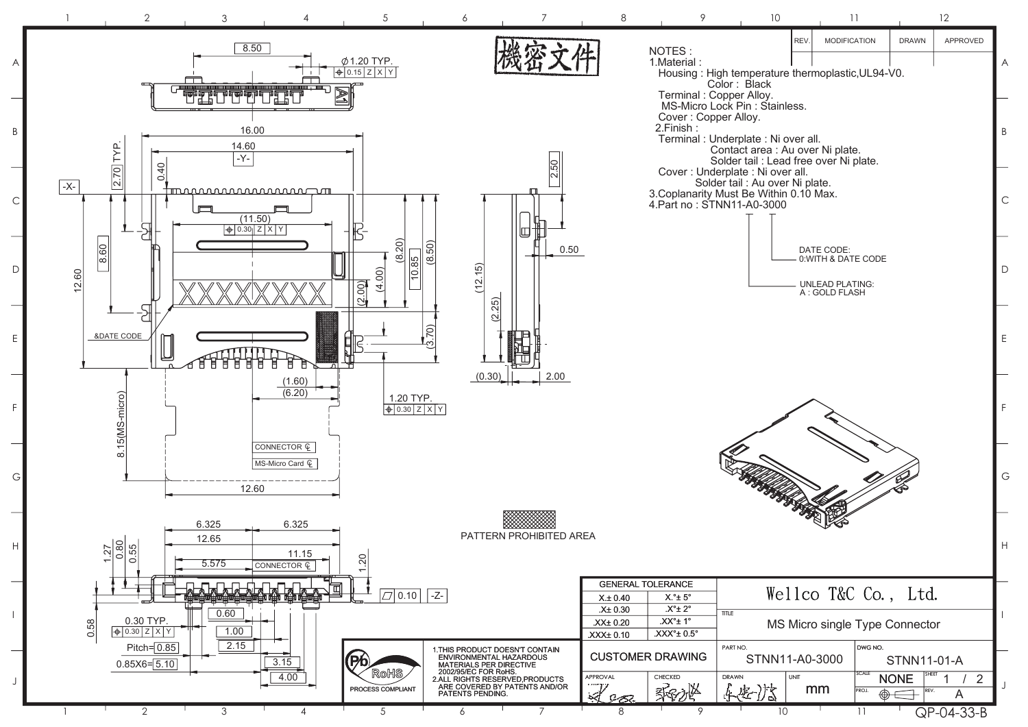